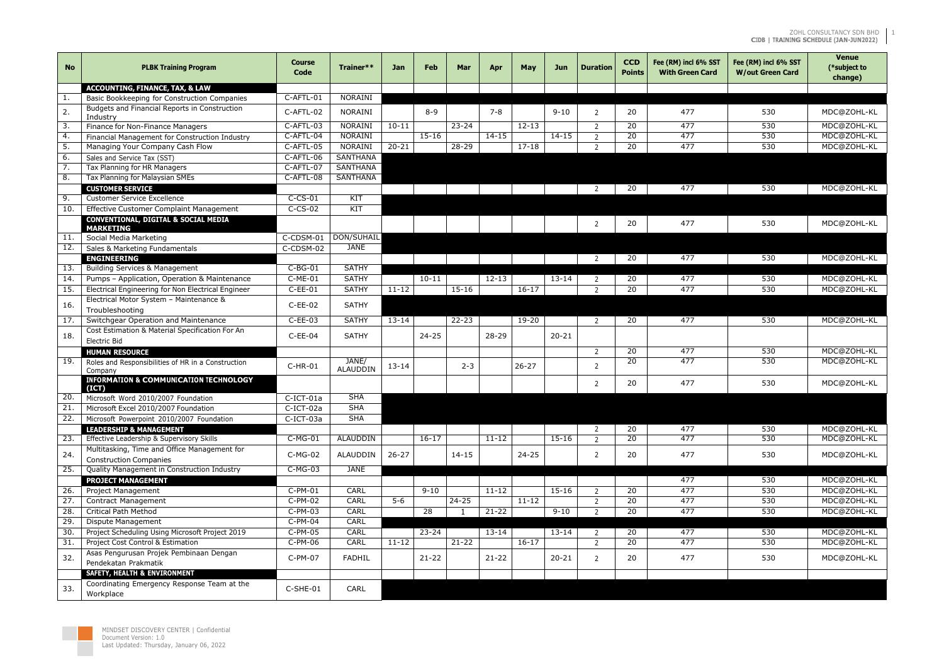## ZOHL CONSULTANCY SDN BHD **CIDB | TRAINING SCHEDULE (JAN-JUN2022)**

1

| <b>No</b>         | <b>PLBK Training Program</b>                                                  | <b>Course</b><br>Code | Trainer**         | <b>Jan</b> | <b>Feb</b> | Mar       | Apr       | May       | Jun       | <b>Duration</b> | <b>CCD</b><br><b>Points</b> | Fee (RM) incl 6% SST<br><b>With Green Card</b> | Fee (RM) incl 6% SST<br><b>W/out Green Card</b> | <b>Venue</b><br>(*subject to<br>change) |
|-------------------|-------------------------------------------------------------------------------|-----------------------|-------------------|------------|------------|-----------|-----------|-----------|-----------|-----------------|-----------------------------|------------------------------------------------|-------------------------------------------------|-----------------------------------------|
|                   | <b>ACCOUNTING, FINANCE, TAX, &amp; LAW</b>                                    |                       |                   |            |            |           |           |           |           |                 |                             |                                                |                                                 |                                         |
|                   | Basic Bookkeeping for Construction Companies                                  | $C-AFTL-01$           | <b>NORAINI</b>    |            |            |           |           |           |           |                 |                             |                                                |                                                 |                                         |
| 2.                | Budgets and Financial Reports in Construction<br>Industry                     | C-AFTL-02             | NORAINI           |            | $8 - 9$    |           | $7 - 8$   |           | $9 - 10$  | $\mathcal{P}$   | 20                          | 477                                            | 530                                             | MDC@ZOHL-KL                             |
| -3.               | Finance for Non-Finance Managers                                              | C-AFTL-03             | <b>NORAINI</b>    | $10-11$    |            | $23 - 24$ |           | $12 - 13$ |           | $\mathcal{L}$   | 20                          | 477                                            | 530                                             | MDC@ZOHL-KL                             |
| 4.                | Financial Management for Construction Industry                                | C-AFTL-04             | NORAINI           |            | $15 - 16$  |           | $14 - 15$ |           | $14 - 15$ | 2               | 20                          | 477                                            | 530                                             | MDC@ZOHL-KL                             |
| 5.                | Managing Your Company Cash Flow                                               | C-AFTL-05             | NORAINI           | $20 - 21$  |            | 28-29     |           | $17 - 18$ |           | $\mathcal{L}$   | 20                          | 477                                            | 530                                             | MDC@ZOHL-KL                             |
| 6.                | Sales and Service Tax (SST)                                                   | C-AFTL-06             | <b>SANTHANA</b>   |            |            |           |           |           |           |                 |                             |                                                |                                                 |                                         |
|                   | Tax Planning for HR Managers                                                  | C-AFTL-07             | <b>SANTHANA</b>   |            |            |           |           |           |           |                 |                             |                                                |                                                 |                                         |
| 8.                | Tax Planning for Malaysian SMEs                                               | C-AFTL-08             | <b>SANTHANA</b>   |            |            |           |           |           |           |                 |                             |                                                |                                                 |                                         |
|                   | <b>CUSTOMER SERVICE</b>                                                       |                       |                   |            |            |           |           |           |           | $\mathcal{L}$   | <b>20</b>                   | 477                                            | 530                                             | MDC@ZOHL-KL                             |
| 9.                | <b>Customer Service Excellence</b>                                            | $C-CS-01$             | $\overline{KIT}$  |            |            |           |           |           |           |                 |                             |                                                |                                                 |                                         |
| 10.               | <b>Effective Customer Complaint Management</b>                                | $C-CS-02$             | KT                |            |            |           |           |           |           |                 |                             |                                                |                                                 |                                         |
|                   | <b>CONVENTIONAL, DIGITAL &amp; SOCIAL MEDIA</b><br>MARKETING                  |                       |                   |            |            |           |           |           |           | $\mathcal{P}$   | 20                          | 477                                            | 530                                             | MDC@ZOHL-KL                             |
| 11.               | Social Media Marketing                                                        | C-CDSM-01             | <b>DON/SUHAIL</b> |            |            |           |           |           |           |                 |                             |                                                |                                                 |                                         |
| 12.               | Sales & Marketing Fundamentals                                                | C-CDSM-02             | <b>JANE</b>       |            |            |           |           |           |           |                 |                             |                                                |                                                 |                                         |
|                   | <b>ENGINEERING</b>                                                            |                       |                   |            |            |           |           |           |           | 2               | 20                          | 477                                            | 530                                             | MDC@ZOHL-KL                             |
| 13.               | Building Services & Management                                                | $C-BG-01$             | <b>SATHY</b>      |            |            |           |           |           |           |                 |                             |                                                |                                                 |                                         |
| 14.               | Pumps - Application, Operation & Maintenance                                  | $C-ME-01$             | <b>SATHY</b>      |            | $10 - 11$  |           | $12 - 13$ |           | $13 - 14$ | 2               | 20                          | 477                                            | 530                                             | MDC@ZOHL-KL                             |
| 15.               | Electrical Engineering for Non Electrical Engineer                            | $C$ -EE-01            | <b>SATHY</b>      | $11 - 12$  |            | $15 - 16$ |           | $16 - 17$ |           | $\mathcal{D}$   | 20                          | 477                                            | 530                                             | MDC@ZOHL-KL                             |
| 16.               | Electrical Motor System - Maintenance &<br>Troubleshooting                    | $C$ -EE-02            | <b>SATHY</b>      |            |            |           |           |           |           |                 |                             |                                                |                                                 |                                         |
| 17.               | Switchgear Operation and Maintenance                                          | $C$ -EE-03            | <b>SATHY</b>      | $13 - 14$  |            | $22 - 23$ |           | 19-20     |           | $\overline{2}$  | 20                          | 477                                            | 530                                             | MDC@ZOHL-KL                             |
| 18.               | Cost Estimation & Material Specification For An<br>Electric Bid               | $C$ -EE-04            | <b>SATHY</b>      |            | $24 - 25$  |           | $28 - 29$ |           | $20 - 21$ |                 |                             |                                                |                                                 |                                         |
|                   |                                                                               |                       |                   |            |            |           |           |           |           | 2               | 20                          | 477                                            | 530                                             | MDC@ZOHL-KL                             |
| $\overline{19}$ . | <b>HUMAN RESOURCE</b><br>Roles and Responsibilities of HR in a Construction   |                       | JANE/             |            |            |           |           |           |           |                 | 20                          | 477                                            | 530                                             | MDC@ZOHL-KL                             |
|                   | Company                                                                       | $C-HR-01$             | <b>ALAUDDIN</b>   | $13 - 14$  |            | $2 - 3$   |           | $26 - 27$ |           | 2               |                             |                                                |                                                 |                                         |
|                   | <b>INFORMATION &amp; COMMUNICATION TECHNOLOGY</b><br>(ICT)                    |                       |                   |            |            |           |           |           |           | 2               | 20                          | 477                                            | 530                                             | MDC@ZOHL-KL                             |
| 20.               | Microsoft Word 2010/2007 Foundation                                           | C-ICT-01a             | <b>SHA</b>        |            |            |           |           |           |           |                 |                             |                                                |                                                 |                                         |
| 21.               | Microsoft Excel 2010/2007 Foundation                                          | C-ICT-02a             | <b>SHA</b>        |            |            |           |           |           |           |                 |                             |                                                |                                                 |                                         |
| 22.               | Microsoft Powerpoint 2010/2007 Foundation                                     | C-ICT-03a             | <b>SHA</b>        |            |            |           |           |           |           |                 |                             |                                                |                                                 |                                         |
|                   | <b>LEADERSHIP &amp; MANAGEMENT</b>                                            |                       |                   |            |            |           |           |           |           | 2               | 20                          | 477                                            | 530                                             | MDC@ZOHL-KL                             |
| 23.               | Effective Leadership & Supervisory Skills                                     | $C-MG-01$             | <b>ALAUDDIN</b>   |            | $16-17$    |           | $11 - 12$ |           | $15 - 16$ | $\overline{2}$  | 20                          | 477                                            | 530                                             | MDC@ZOHL-KL                             |
| 24.               | Multitasking, Time and Office Management for<br><b>Construction Companies</b> | $C-MG-02$             | ALAUDDIN          | $26 - 27$  |            | $14 - 15$ |           | $24 - 25$ |           | $\overline{2}$  | 20                          | 477                                            | 530                                             | MDC@ZOHL-KL                             |
| 25.               | Quality Management in Construction Industry                                   | $C-MG-03$             | <b>JANE</b>       |            |            |           |           |           |           |                 |                             |                                                |                                                 |                                         |
|                   | <b>PROJECT MANAGEMENT</b>                                                     |                       |                   |            |            |           |           |           |           |                 |                             | 477                                            | 530                                             | MDC@ZOHL-KL                             |
| 26.               | Project Management                                                            | $C-PM-01$             | <b>CARL</b>       |            | $9 - 10$   |           | $11 - 12$ |           | $15 - 16$ | $\overline{2}$  | 20                          | 477                                            | 530                                             | MDC@ZOHL-KL                             |
| 27.               | Contract Management                                                           | $C-PM-02$             | <b>CARL</b>       | $5 - 6$    |            | $24 - 25$ |           | $11 - 12$ |           | $\overline{2}$  | $\overline{20}$             | 477                                            | 530                                             | MDC@ZOHL-KL                             |
| 28.               | Critical Path Method                                                          | $C-PM-03$             | CARL              |            | 28         |           | $21 - 22$ |           | $9 - 10$  | 2               | 20                          | 477                                            | 530                                             | MDC@ZOHL-KL                             |
| 29.               | Dispute Management                                                            | $C-PM-04$             | <b>CARL</b>       |            |            |           |           |           |           |                 |                             |                                                |                                                 |                                         |
| 30.               | Project Scheduling Using Microsoft Project 2019                               | $C-PM-05$             | <b>CARL</b>       |            | $23 - 24$  |           | $13 - 14$ |           | $13 - 14$ | $\mathcal{L}$   | 20                          | 477                                            | 530                                             | MDC@ZOHL-KL                             |
| 31.               | Project Cost Control & Estimation                                             | $C-PM-06$             | <b>CARL</b>       | $11 - 12$  |            | $21 - 22$ |           | $16 - 17$ |           | $\overline{2}$  | 20                          | 477                                            | 530                                             | MDC@ZOHL-KL                             |
| 32.               | Asas Pengurusan Projek Pembinaan Dengan<br>Pendekatan Prakmatik               | C-PM-07               | <b>FADHIL</b>     |            | $21 - 22$  |           | $21 - 22$ |           | $20 - 21$ | $\overline{2}$  | 20                          | 477                                            | 530                                             | MDC@ZOHL-KL                             |
|                   | <b>SAFETY, HEALTH &amp; ENVIRONMENT</b>                                       |                       |                   |            |            |           |           |           |           |                 |                             |                                                |                                                 |                                         |
| 33.               | Coordinating Emergency Response Team at the<br>Workplace                      | C-SHE-01              | CARL              |            |            |           |           |           |           |                 |                             |                                                |                                                 |                                         |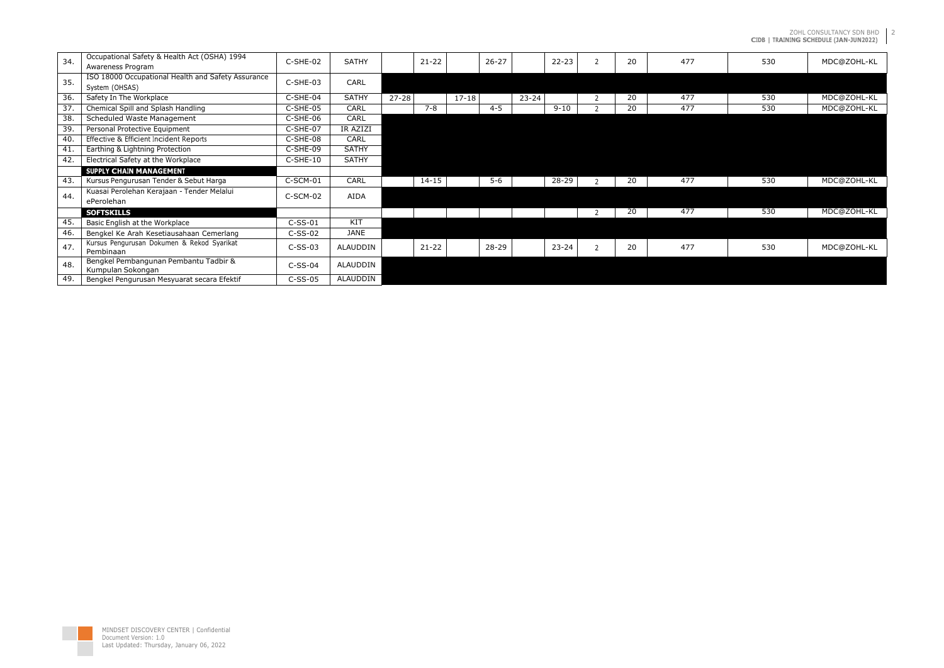ZOHL CONSULTANCY SDN BHD **CIDB | TRAINING SCHEDULE (JAN-JUN2022)**

| 530 | MDC@ZOHL-KL |
|-----|-------------|
|     |             |
| 530 | MDC@ZOHL-KL |
| 530 | MDC@ZOHL-KL |
|     |             |
|     |             |
|     |             |
|     |             |
| 530 | MDC@ZOHL-KL |
|     |             |
| 530 | MDC@ZOHL-KL |
|     |             |
| 530 | MDC@ZOHL-KL |
|     |             |

2

| 34.               | Occupational Safety & Health Act (OSHA) 1994       | C-SHE-02   | <b>SATHY</b>    | $21 - 22$ | $26 - 27$ |           | $22 - 23$ | 20 | 477 | 530 | MDC@ZOHL-KL |
|-------------------|----------------------------------------------------|------------|-----------------|-----------|-----------|-----------|-----------|----|-----|-----|-------------|
|                   | Awareness Program                                  |            |                 |           |           |           |           |    |     |     |             |
| 35.               | ISO 18000 Occupational Health and Safety Assurance | C-SHE-03   | CARL            |           |           |           |           |    |     |     |             |
|                   | System (OHSAS)                                     |            |                 |           |           |           |           |    |     |     |             |
| $\overline{36}$ . | Safety In The Workplace                            | C-SHE-04   | <b>SATHY</b>    | $27 - 28$ | $17 - 18$ | $23 - 24$ |           | 20 | 477 | 530 | MDC@ZOHL-KL |
| 37.               | Chemical Spill and Splash Handling                 | C-SHE-05   | CARL            | $7 - 8$   | $4 - 5$   |           | $9 - 10$  | 20 | 477 | 530 | MDC@ZOHL-KL |
| $\overline{38}$ . | Scheduled Waste Management                         | C-SHE-06   | <b>CARL</b>     |           |           |           |           |    |     |     |             |
| 39.               | Personal Protective Equipment                      | C-SHE-07   | IR AZIZI        |           |           |           |           |    |     |     |             |
| 40.               | Effective & Efficient Incident Reports             | C-SHE-08   | CARL            |           |           |           |           |    |     |     |             |
| 41.               | Earthing & Lightning Protection                    | C-SHE-09   | <b>SATHY</b>    |           |           |           |           |    |     |     |             |
| 42.               | Electrical Safety at the Workplace                 | $C-SHE-10$ | <b>SATHY</b>    |           |           |           |           |    |     |     |             |
|                   | SUPPLY CHAIN MANAGEMENT                            |            |                 |           |           |           |           |    |     |     |             |
| 43.               | Kursus Pengurusan Tender & Sebut Harga             | C-SCM-01   | CARL            | $14 - 15$ | $5-6$     |           | 28-29     | 20 | 477 | 530 | MDC@ZOHL-KL |
| 44.               | Kuasai Perolehan Kerajaan - Tender Melalui         | C-SCM-02   | AIDA            |           |           |           |           |    |     |     |             |
|                   | ePerolehan                                         |            |                 |           |           |           |           |    |     |     |             |
|                   | <b>SOFTSKILLS</b>                                  |            |                 |           |           |           |           | 20 | 477 | 530 | MDC@ZOHL-KL |
| 45.               | Basic English at the Workplace                     | $C-SS-01$  | KIT             |           |           |           |           |    |     |     |             |
| 46.               | Bengkel Ke Arah Kesetiausahaan Cemerlang           | $C-SS-02$  | JANE            |           |           |           |           |    |     |     |             |
| 47.               | Kursus Pengurusan Dokumen & Rekod Syarikat         | $C-SS-03$  | ALAUDDIN        | $21 - 22$ | $28 - 29$ |           | $23 - 24$ | 20 | 477 | 530 | MDC@ZOHL-KL |
|                   | Pembinaan                                          |            |                 |           |           |           |           |    |     |     |             |
| 48.               | Bengkel Pembangunan Pembantu Tadbir &              | $C-SS-04$  | <b>ALAUDDIN</b> |           |           |           |           |    |     |     |             |
|                   | Kumpulan Sokongan                                  |            |                 |           |           |           |           |    |     |     |             |
| 49.               | Bengkel Pengurusan Mesyuarat secara Efektif        | $C-SS-05$  | ALAUDDIN        |           |           |           |           |    |     |     |             |